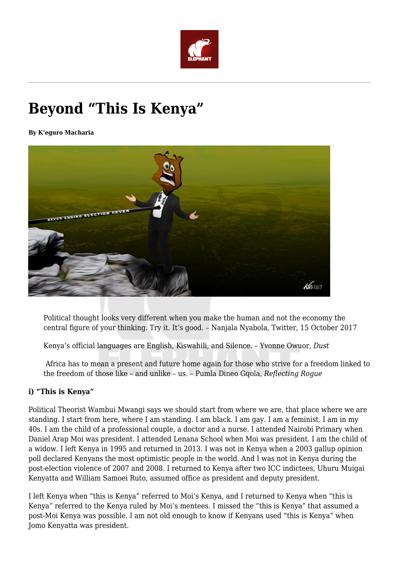

# **Beyond "This Is Kenya"**

**By K'eguro Macharia**



Political thought looks very different when you make the human and not the economy the central figure of your thinking. Try it. It's good. – Nanjala Nyabola, Twitter, 15 October 2017

Kenya's official languages are English, Kiswahili, and Silence. – Yvonne Owuor, *Dust*

Africa has to mean a present and future home again for those who strive for a freedom linked to the freedom of those like – and unlike – us. – Pumla Dineo Gqola, *Reflecting Rogue*

# **i) "This is Kenya"**

Political Theorist Wambui Mwangi says we should start from where we are, that place where we are standing. I start from here, where I am standing. I am black. I am gay. I am a feminist. I am in my 40s. I am the child of a professional couple, a doctor and a nurse. I attended Nairobi Primary when Daniel Arap Moi was president. I attended Lenana School when Moi was president. I am the child of a widow. I left Kenya in 1995 and returned in 2013. I was not in Kenya when a 2003 gallup opinion poll declared Kenyans the most optimistic people in the world. And I was not in Kenya during the post-election violence of 2007 and 2008. I returned to Kenya after two ICC indictees, Uhuru Muigai Kenyatta and William Samoei Ruto, assumed office as president and deputy president.

I left Kenya when "this is Kenya" referred to Moi's Kenya, and I returned to Kenya when "this is Kenya" referred to the Kenya ruled by Moi's mentees. I missed the "this is Kenya" that assumed a post-Moi Kenya was possible. I am not old enough to know if Kenyans used "this is Kenya" when Jomo Kenyatta was president.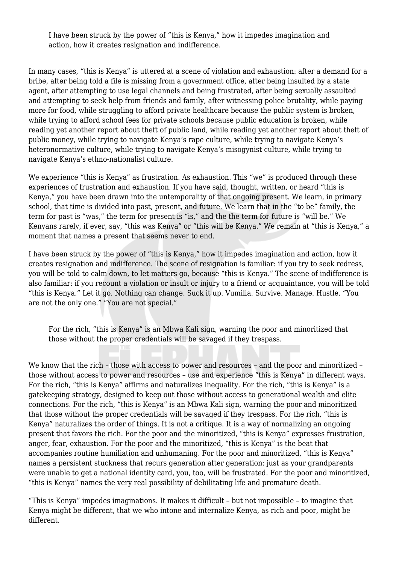I have been struck by the power of "this is Kenya," how it impedes imagination and action, how it creates resignation and indifference.

In many cases, "this is Kenya" is uttered at a scene of violation and exhaustion: after a demand for a bribe, after being told a file is missing from a government office, after being insulted by a state agent, after attempting to use legal channels and being frustrated, after being sexually assaulted and attempting to seek help from friends and family, after witnessing police brutality, while paying more for food, while struggling to afford private healthcare because the public system is broken, while trying to afford school fees for private schools because public education is broken, while reading yet another report about theft of public land, while reading yet another report about theft of public money, while trying to navigate Kenya's rape culture, while trying to navigate Kenya's heteronormative culture, while trying to navigate Kenya's misogynist culture, while trying to navigate Kenya's ethno-nationalist culture.

We experience "this is Kenya" as frustration. As exhaustion. This "we" is produced through these experiences of frustration and exhaustion. If you have said, thought, written, or heard "this is Kenya," you have been drawn into the untemporality of that ongoing present. We learn, in primary school, that time is divided into past, present, and future. We learn that in the "to be" family, the term for past is "was," the term for present is "is," and the the term for future is "will be." We Kenyans rarely, if ever, say, "this was Kenya" or "this will be Kenya." We remain at "this is Kenya," a moment that names a present that seems never to end.

I have been struck by the power of "this is Kenya," how it impedes imagination and action, how it creates resignation and indifference. The scene of resignation is familiar: if you try to seek redress, you will be told to calm down, to let matters go, because "this is Kenya." The scene of indifference is also familiar: if you recount a violation or insult or injury to a friend or acquaintance, you will be told "this is Kenya." Let it go. Nothing can change. Suck it up. Vumilia. Survive. Manage. Hustle. "You are not the only one." "You are not special."

For the rich, "this is Kenya" is an Mbwa Kali sign, warning the poor and minoritized that those without the proper credentials will be savaged if they trespass.

We know that the rich – those with access to power and resources – and the poor and minoritized – those without access to power and resources – use and experience "this is Kenya" in different ways. For the rich, "this is Kenya" affirms and naturalizes inequality. For the rich, "this is Kenya" is a gatekeeping strategy, designed to keep out those without access to generational wealth and elite connections. For the rich, "this is Kenya" is an Mbwa Kali sign, warning the poor and minoritized that those without the proper credentials will be savaged if they trespass. For the rich, "this is Kenya" naturalizes the order of things. It is not a critique. It is a way of normalizing an ongoing present that favors the rich. For the poor and the minoritized, "this is Kenya" expresses frustration, anger, fear, exhaustion. For the poor and the minoritized, "this is Kenya" is the beat that accompanies routine humiliation and unhumaning. For the poor and minoritized, "this is Kenya" names a persistent stuckness that recurs generation after generation: just as your grandparents were unable to get a national identity card, you, too, will be frustrated. For the poor and minoritized, "this is Kenya" names the very real possibility of debilitating life and premature death.

"This is Kenya" impedes imaginations. It makes it difficult – but not impossible – to imagine that Kenya might be different, that we who intone and internalize Kenya, as rich and poor, might be different.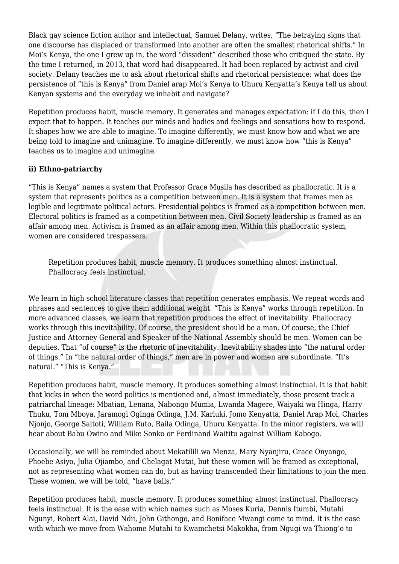Black gay science fiction author and intellectual, Samuel Delany, writes, "The betraying signs that one discourse has displaced or transformed into another are often the smallest rhetorical shifts." In Moi's Kenya, the one I grew up in, the word "dissident" described those who critiqued the state. By the time I returned, in 2013, that word had disappeared. It had been replaced by activist and civil society. Delany teaches me to ask about rhetorical shifts and rhetorical persistence: what does the persistence of "this is Kenya" from Daniel arap Moi's Kenya to Uhuru Kenyatta's Kenya tell us about Kenyan systems and the everyday we inhabit and navigate?

Repetition produces habit, muscle memory. It generates and manages expectation: if I do this, then I expect that to happen. It teaches our minds and bodies and feelings and sensations how to respond. It shapes how we are able to imagine. To imagine differently, we must know how and what we are being told to imagine and unimagine. To imagine differently, we must know how "this is Kenya" teaches us to imagine and unimagine.

## **ii) Ethno-patriarchy**

"This is Kenya" names a system that Professor Grace Musila has described as phallocratic. It is a system that represents politics as a competition between men. It is a system that frames men as legible and legitimate political actors. Presidential politics is framed as a competition between men. Electoral politics is framed as a competition between men. Civil Society leadership is framed as an affair among men. Activism is framed as an affair among men. Within this phallocratic system, women are considered trespassers.

Repetition produces habit, muscle memory. It produces something almost instinctual. Phallocracy feels instinctual.

We learn in high school literature classes that repetition generates emphasis. We repeat words and phrases and sentences to give them additional weight. "This is Kenya" works through repetition. In more advanced classes, we learn that repetition produces the effect of inevitability. Phallocracy works through this inevitability. Of course, the president should be a man. Of course, the Chief Justice and Attorney General and Speaker of the National Assembly should be men. Women can be deputies. That "of course" is the rhetoric of inevitability. Inevitability shades into "the natural order of things." In "the natural order of things," men are in power and women are subordinate. "It's natural." "This is Kenya."

Repetition produces habit, muscle memory. It produces something almost instinctual. It is that habit that kicks in when the word politics is mentioned and, almost immediately, those present track a patriarchal lineage: Mbatian, Lenana, Nabongo Mumia, Lwanda Magere, Waiyaki wa Hinga, Harry Thuku, Tom Mboya, Jaramogi Oginga Odinga, J.M. Kariuki, Jomo Kenyatta, Daniel Arap Moi, Charles Njonjo, George Saitoti, William Ruto, Raila Odinga, Uhuru Kenyatta. In the minor registers, we will hear about Babu Owino and Mike Sonko or Ferdinand Waititu against William Kabogo.

Occasionally, we will be reminded about Mekatilili wa Menza, Mary Nyanjiru, Grace Onyango, Phoebe Asiyo, Julia Ojiambo, and Chelagat Mutai, but these women will be framed as exceptional, not as representing what women can do, but as having transcended their limitations to join the men. These women, we will be told, "have balls."

Repetition produces habit, muscle memory. It produces something almost instinctual. Phallocracy feels instinctual. It is the ease with which names such as Moses Kuria, Dennis Itumbi, Mutahi Ngunyi, Robert Alai, David Ndii, John Githongo, and Boniface Mwangi come to mind. It is the ease with which we move from Wahome Mutahi to Kwamchetsi Makokha, from Ngugi wa Thiong'o to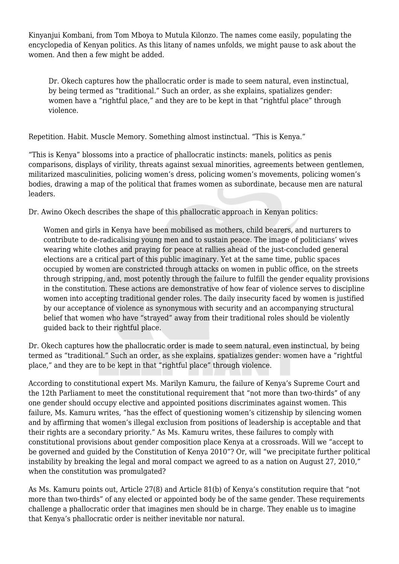Kinyanjui Kombani, from Tom Mboya to Mutula Kilonzo. The names come easily, populating the encyclopedia of Kenyan politics. As this litany of names unfolds, we might pause to ask about the women. And then a few might be added.

Dr. Okech captures how the phallocratic order is made to seem natural, even instinctual, by being termed as "traditional." Such an order, as she explains, spatializes gender: women have a "rightful place," and they are to be kept in that "rightful place" through violence.

Repetition. Habit. Muscle Memory. Something almost instinctual. "This is Kenya."

"This is Kenya" blossoms into a practice of phallocratic instincts: manels, politics as penis comparisons, displays of virility, threats against sexual minorities, agreements between gentlemen, militarized masculinities, policing women's dress, policing women's movements, policing women's bodies, drawing a map of the political that frames women as subordinate, because men are natural leaders.

Dr. Awino Okech describes the shape of this phallocratic approach in Kenyan politics:

Women and girls in Kenya have been mobilised as mothers, child bearers, and nurturers to contribute to de-radicalising young men and to sustain peace. The image of politicians' wives wearing white clothes and praying for peace at rallies ahead of the just-concluded general elections are a critical part of this public imaginary. Yet at the same time, public spaces occupied by women are constricted through attacks on women in public office, on the streets through stripping, and, most potently through the failure to fulfill the gender equality provisions in the constitution. These actions are demonstrative of how fear of violence serves to discipline women into accepting traditional gender roles. The daily insecurity faced by women is justified by our acceptance of violence as synonymous with security and an accompanying structural belief that women who have "strayed" away from their traditional roles should be violently guided back to their rightful place.

Dr. Okech captures how the phallocratic order is made to seem natural, even instinctual, by being termed as "traditional." Such an order, as she explains, spatializes gender: women have a "rightful place," and they are to be kept in that "rightful place" through violence.

According to constitutional expert Ms. Marilyn Kamuru, the failure of Kenya's Supreme Court and the 12th Parliament to meet the constitutional requirement that "not more than two-thirds" of any one gender should occupy elective and appointed positions discriminates against women. This failure, Ms. Kamuru writes, "has the effect of questioning women's citizenship by silencing women and by affirming that women's illegal exclusion from positions of leadership is acceptable and that their rights are a secondary priority." As Ms. Kamuru writes, these failures to comply with constitutional provisions about gender composition place Kenya at a crossroads. Will we "accept to be governed and guided by the Constitution of Kenya 2010"? Or, will "we precipitate further political instability by breaking the legal and moral compact we agreed to as a nation on August 27, 2010," when the constitution was promulgated?

As Ms. Kamuru points out, Article 27(8) and Article 81(b) of Kenya's constitution require that "not more than two-thirds" of any elected or appointed body be of the same gender. These requirements challenge a phallocratic order that imagines men should be in charge. They enable us to imagine that Kenya's phallocratic order is neither inevitable nor natural.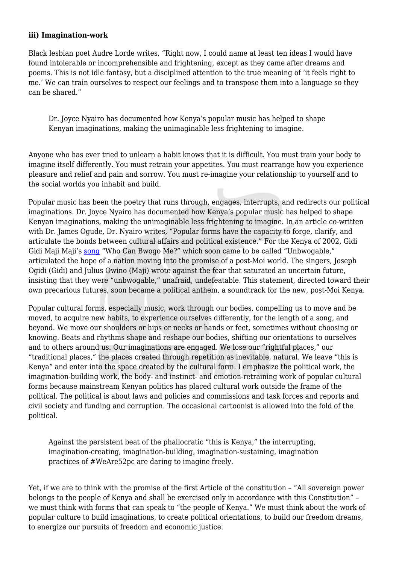#### **iii) Imagination-work**

Black lesbian poet Audre Lorde writes, "Right now, I could name at least ten ideas I would have found intolerable or incomprehensible and frightening, except as they came after dreams and poems. This is not idle fantasy, but a disciplined attention to the true meaning of 'it feels right to me.' We can train ourselves to respect our feelings and to transpose them into a language so they can be shared."

Dr. Joyce Nyairo has documented how Kenya's popular music has helped to shape Kenyan imaginations, making the unimaginable less frightening to imagine.

Anyone who has ever tried to unlearn a habit knows that it is difficult. You must train your body to imagine itself differently. You must retrain your appetites. You must rearrange how you experience pleasure and relief and pain and sorrow. You must re-imagine your relationship to yourself and to the social worlds you inhabit and build.

Popular music has been the poetry that runs through, engages, interrupts, and redirects our political imaginations. Dr. Joyce Nyairo has documented how Kenya's popular music has helped to shape Kenyan imaginations, making the unimaginable less frightening to imagine. In an article co-written with Dr. James Ogude, Dr. Nyairo writes, "Popular forms have the capacity to forge, clarify, and articulate the bonds between cultural affairs and political existence." For the Kenya of 2002, Gidi Gidi Maji Maji's [song](https://www.youtube.com/watch?v=DcIDTiqzJ0s) "Who Can Bwogo Me?" which soon came to be called "Unbwogable," articulated the hope of a nation moving into the promise of a post-Moi world. The singers, Joseph Ogidi (Gidi) and Julius Owino (Maji) wrote against the fear that saturated an uncertain future, insisting that they were "unbwogable," unafraid, undefeatable. This statement, directed toward their own precarious futures, soon became a political anthem, a soundtrack for the new, post-Moi Kenya.

Popular cultural forms, especially music, work through our bodies, compelling us to move and be moved, to acquire new habits, to experience ourselves differently, for the length of a song, and beyond. We move our shoulders or hips or necks or hands or feet, sometimes without choosing or knowing. Beats and rhythms shape and reshape our bodies, shifting our orientations to ourselves and to others around us. Our imaginations are engaged. We lose our "rightful places," our "traditional places," the places created through repetition as inevitable, natural. We leave "this is Kenya" and enter into the space created by the cultural form. I emphasize the political work, the imagination-building work, the body- and instinct- and emotion-retraining work of popular cultural forms because mainstream Kenyan politics has placed cultural work outside the frame of the political. The political is about laws and policies and commissions and task forces and reports and civil society and funding and corruption. The occasional cartoonist is allowed into the fold of the political.

Against the persistent beat of the phallocratic "this is Kenya," the interrupting, imagination-creating, imagination-building, imagination-sustaining, imagination practices of #WeAre52pc are daring to imagine freely.

Yet, if we are to think with the promise of the first Article of the constitution – "All sovereign power belongs to the people of Kenya and shall be exercised only in accordance with this Constitution" – we must think with forms that can speak to "the people of Kenya." We must think about the work of popular culture to build imaginations, to create political orientations, to build our freedom dreams, to energize our pursuits of freedom and economic justice.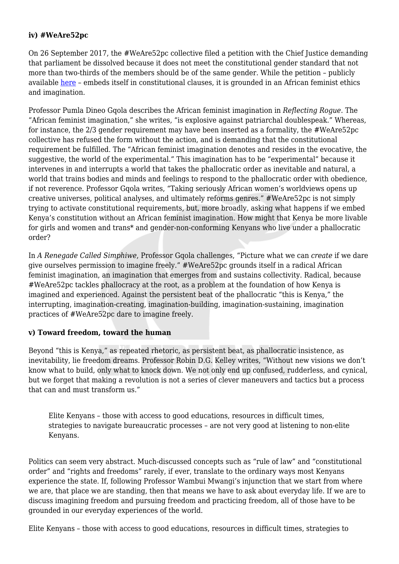## **iv) #WeAre52pc**

On 26 September 2017, the #WeAre52pc collective filed a petition with the Chief Justice demanding that parliament be dissolved because it does not meet the constitutional gender standard that not more than two-thirds of the members should be of the same gender. While the petition – publicly available [here](https://secure.avaaz.org/en/petition/The_Chief_Justice_Of_the_Republic_of_Kenya_Article_3_Petition_To_Respect_Uphold_Defend_the_Constitution_of_Kenya/?ceElHfb) – embeds itself in constitutional clauses, it is grounded in an African feminist ethics and imagination.

Professor Pumla Dineo Gqola describes the African feminist imagination in *Reflecting Rogue.* The "African feminist imagination," she writes, "is explosive against patriarchal doublespeak." Whereas, for instance, the 2/3 gender requirement may have been inserted as a formality, the #WeAre52pc collective has refused the form without the action, and is demanding that the constitutional requirement be fulfilled. The "African feminist imagination denotes and resides in the evocative, the suggestive, the world of the experimental." This imagination has to be "experimental" because it intervenes in and interrupts a world that takes the phallocratic order as inevitable and natural, a world that trains bodies and minds and feelings to respond to the phallocratic order with obedience, if not reverence. Professor Gqola writes, "Taking seriously African women's worldviews opens up creative universes, political analyses, and ultimately reforms genres." #WeAre52pc is not simply trying to activate constitutional requirements, but, more broadly, asking what happens if we embed Kenya's constitution without an African feminist imagination. How might that Kenya be more livable for girls and women and trans\* and gender-non-conforming Kenyans who live under a phallocratic order?

In *A Renegade Called Simphiwe*, Professor Gqola challenges, "Picture what we can *create* if we dare give ourselves permission to imagine freely." #WeAre52pc grounds itself in a radical African feminist imagination, an imagination that emerges from and sustains collectivity. Radical, because #WeAre52pc tackles phallocracy at the root, as a problem at the foundation of how Kenya is imagined and experienced. Against the persistent beat of the phallocratic "this is Kenya," the interrupting, imagination-creating, imagination-building, imagination-sustaining, imagination practices of #WeAre52pc dare to imagine freely.

#### **v) Toward freedom, toward the human**

Beyond "this is Kenya," as repeated rhetoric, as persistent beat, as phallocratic insistence, as inevitability, lie freedom dreams. Professor Robin D.G. Kelley writes, "Without new visions we don't know what to build, only what to knock down. We not only end up confused, rudderless, and cynical, but we forget that making a revolution is not a series of clever maneuvers and tactics but a process that can and must transform us."

Elite Kenyans – those with access to good educations, resources in difficult times, strategies to navigate bureaucratic processes – are not very good at listening to non-elite Kenyans.

Politics can seem very abstract. Much-discussed concepts such as "rule of law" and "constitutional order" and "rights and freedoms" rarely, if ever, translate to the ordinary ways most Kenyans experience the state. If, following Professor Wambui Mwangi's injunction that we start from where we are, that place we are standing, then that means we have to ask about everyday life. If we are to discuss imagining freedom and pursuing freedom and practicing freedom, all of those have to be grounded in our everyday experiences of the world.

Elite Kenyans – those with access to good educations, resources in difficult times, strategies to